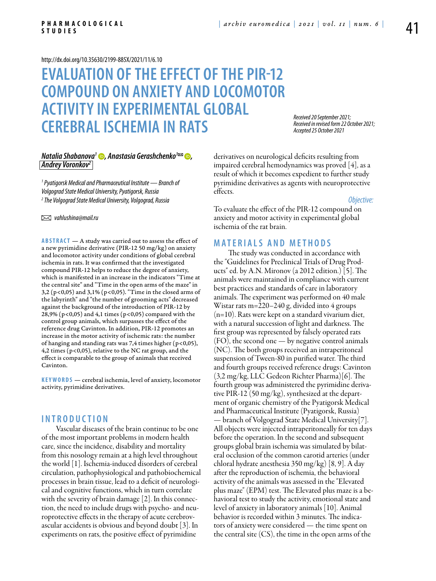<http://dx.doi.org/10.35630/2199-885X/2021/11/6.10>

# **Evaluation of the effect of the PIR-12 compound on anxiety and locomotor activity in experimental global cerebral ischemia in rats**

*Received 20 September 2021; Received in revised form 22 October 2021; Accepted 25 October 2021*

# *[Natalia Shabanova1](https://orcid.org/0000-0002-7693-5182) , [Anastasia Gerashchenko](https://orcid.org/0000-0003-0294-2926)1 , Andrey Voronkov2*

*1 Pyatigorsk Medical and Pharmaceutical Institute — Branch of Volgograd State Medical University, Pyatigorsk, Russia 2 The Volgograd State Medical University, Volgograd, Russia*

 *vahlushina@mail.ru* 

**ABSTRACT** — A study was carried out to assess the effect of a new pyrimidine derivative (PIR-12 50 mg/kg) on anxiety and locomotor activity under conditions of global cerebral ischemia in rats. It was confirmed that the investigated compound PIR-12 helps to reduce the degree of anxiety, which is manifested in an increase in the indicators "Time at the central site" and "Time in the open arms of the maze" in 3,2 (p<0,05) and 3,1% (p<0,05). "Time in the closed arms of the labyrinth" and "the number of grooming acts" decreased against the background of the introduction of PIR-12 by 28,9% ( $p < 0.05$ ) and 4,1 times ( $p < 0.05$ ) compared with the control group animals, which surpasses the effect of the reference drug Cavinton. In addition, PIR-12 promotes an increase in the motor activity of ischemic rats: the number of hanging and standing rats was 7,4 times higher ( $p$ <0,05), 4,2 times (p<0,05), relative to the NC rat group, and the effect is comparable to the group of animals that received Cavinton.

**KEYWORDS** — cerebral ischemia, level of anxiety, locomotor activity, pyrimidine derivatives.

## **I n t r o d uct i o n**

Vascular diseases of the brain continue to be one of the most important problems in modern health care, since the incidence, disability and mortality from this nosology remain at a high level throughout the world [1]. Ischemia-induced disorders of cerebral circulation, pathophysiological and pathobiochemical processes in brain tissue, lead to a deficit of neurological and cognitive functions, which in turn correlate with the severity of brain damage [2]. In this connection, the need to include drugs with psycho- and neuroprotective effects in the therapy of acute cerebrovascular accidents is obvious and beyond doubt [3]. In experiments on rats, the positive effect of pyrimidine

derivatives on neurological deficits resulting from impaired cerebral hemodynamics was proved [4], as a result of which it becomes expedient to further study pyrimidine derivatives as agents with neuroprotective effects.

*Objective:*

To evaluate the effect of the PIR-12 compound on anxiety and motor activity in experimental global ischemia of the rat brain.

# **MATERIALS AND METHODS**

The study was conducted in accordance with the "Guidelines for Preclinical Trials of Drug Products" ed. by A.N. Mironov (a 2012 edition.) [5]. The animals were maintained in compliance with current best practices and standards of care in laboratory animals. The experiment was performed on 40 male Wistar rats m=220–240 g, divided into 4 groups  $(n=10)$ . Rats were kept on a standard vivarium diet, with a natural succession of light and darkness. The first group was represented by falsely operated rats (FO), the second one — by negative control animals (NC). The both groups received an intraperitoneal suspension of Tween-80 in purified water. The third and fourth groups received reference drugs: Cavinton (3,2 mg/kg, LLC Gedeon Richter Pharma)[6]. The fourth group was administered the pyrimidine derivative PIR-12 (50 mg/kg), synthesized at the department of organic chemistry of the Pyatigorsk Medical and Pharmaceutical Institute (Pyatigorsk, Russia) — branch of Volgograd State Medical University[7]. All objects were injected intraperitoneally for ten days before the operation. In the second and subsequent groups global brain ischemia was simulated by bilateral occlusion of the common carotid arteries (under chloral hydrate anesthesia 350 mg/kg) [8, 9]. A day after the reproduction of ischemia, the behavioral activity of the animals was assessed in the "Elevated plus maze" (EPM) test. The Elevated plus maze is a behavioral test to study the activity, emotional state and level of anxiety in laboratory animals [10]. Animal behavior is recorded within 3 minutes. The indicators of anxiety were considered — the time spent on the central site (CS), the time in the open arms of the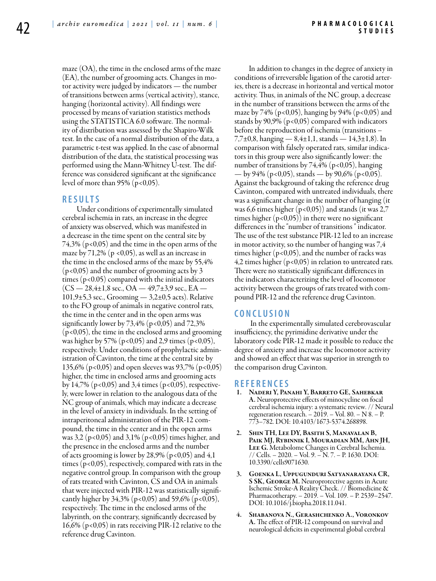maze (OA), the time in the enclosed arms of the maze (EA), the number of grooming acts. Changes in motor activity were judged by indicators — the number of transitions between arms (vertical activity), stance, hanging (horizontal activity). All findings were processed by means of variation statistics methods using the STATISTICA 6.0 software. The normality of distribution was assessed by the Shapiro-Wilk test. In the case of a normal distribution of the data, a parametric t-test was applied. In the case of abnormal distribution of the data, the statistical processing was performed using the Mann-Whitney U-test. The difference was considered significant at the significance level of more than  $95\%$  (p<0,05).

### **R e s u l t s**

Under conditions of experimentally simulated cerebral ischemia in rats, an increase in the degree of anxiety was observed, which was manifested in a decrease in the time spent on the central site by  $74,3\%$  (p<0,05) and the time in the open arms of the maze by  $71,2\%$  (p <0,05), as well as an increase in the time in the enclosed arms of the maze by 55,4% (p<0,05) and the number of grooming acts by 3 times (p<0.05) compared with the initial indicators  $(CS - 28,4 \pm 1,8 \text{ sec.}, OA - 49,7 \pm 3,9 \text{ sec.}, EA 101,9\pm5,3$  sec., Grooming  $-3,2\pm0,5$  acts). Relative to the FO group of animals in negative control rats, the time in the center and in the open arms was significantly lower by 73,4% (p<0,05) and 72,3% (p<0,05), the time in the enclosed arms and grooming was higher by 57% ( $p < 0.05$ ) and 2,9 times ( $p < 0.05$ ), respectively. Under conditions of prophylactic administration of Cavinton, the time at the central site by 135,6% (p<0,05) and open sleeves was 93,7% (p<0,05) higher, the time in enclosed arms and grooming acts by  $14,7\%$  (p<0,05) and 3,4 times (p<0,05), respectively, were lower in relation to the analogous data of the NC group of animals, which may indicate a decrease in the level of anxiety in individuals. In the setting of intraperitoneal administration of the PIR-12 compound, the time in the center and in the open arms was 3,2 (p<0,05) and 3,1% (p<0,05) times higher, and the presence in the enclosed arms and the number of acts grooming is lower by 28,9% ( $p<0.05$ ) and 4,1 times (p<0,05), respectively, compared with rats in the negative control group. In comparison with the group of rats treated with Cavinton, CS and OA in animals that were injected with PIR-12 was statistically significantly higher by 34,3% (p<0,05) and 59,6% (p<0,05), respectively. The time in the enclosed arms of the labyrinth, on the contrary, significantly decreased by 16,6% (p<0,05) in rats receiving PIR-12 relative to the reference drug Cavinton.

In addition to changes in the degree of anxiety in conditions of irreversible ligation of the carotid arteries, there is a decrease in horizontal and vertical motor activity. Thus, in animals of the NC group, a decrease in the number of transitions between the arms of the maze by 74% (p<0,05), hanging by 94% (p<0,05) and stands by  $90,9\%$  (p<0,05) compared with indicators before the reproduction of ischemia (transitions – 7,7±0,8, hanging — 8,4±1,1, stands — 14,3±1,8). In comparison with falsely operated rats, similar indicators in this group were also significantly lower: the number of transitions by 74,4% ( $p < 0.05$ ), hanging — by 94% (p<0,05), stands — by 90,6% (p<0,05). Against the background of taking the reference drug Cavinton, compared with untreated individuals, there was a significant change in the number of hanging (it was 6,6 times higher  $(p<0.05)$ ) and stands (it was 2,7 times higher  $(p<0.05)$  in there were no significant differences in the "number of transitions " indicator. The use of the test substance PIR-12 led to an increase in motor activity, so the number of hanging was 7,4 times higher  $(p<0.05)$ , and the number of racks was 4,2 times higher (p<0,05) in relation to untreated rats. There were no statistically significant differences in the indicators characterizing the level of locomotor activity between the groups of rats treated with compound PIR-12 and the reference drug Cavinton.

#### **C o n cl u s i o n**

 In the experimentally simulated cerebrovascular insufficiency, the pyrimidine derivative under the laboratory code PIR-12 made it possible to reduce the degree of anxiety and increase the locomotor activity and showed an effect that was superior in strength to the comparison drug Cavinton.

## **R efe r e n ce s**

- 1. Naderi Y, Panahi Y, Barreto GE, Sahebkar A. Neuroprotective effects of minocycline on focal cerebral ischemia injury: a systematic review. // Neural regeneration research. – 2019. – Vol. 80. – N 8. – P. 773–782. DOI: 10.4103/1673-5374.268898.
- SHIN TH, LEE DY, BASITH S, MANAVALAN B, Paik MJ, Rybinnik I, Mouradian MM, Ahn JH, Lee G. Metabolome Changes in Cerebral Ischemia. // Cells. – 2020. – Vol. 9. – N. 7. – P. 1630. DOI: 10.3390/cells9071630.
- 3. Goenka L, Uppugunduri Satyanarayana CR, S SK, GEORGE M. Neuroprotective agents in Acute Ischemic Stroke-A Reality Check. // Biomedicine & Pharmacotherapy. – 2019. – Vol. 109. – P. 2539–2547. DOI: 10.1016/j.biopha.2018.11.041.
- SHABANOVA N., GERASHCHENKO A., VORONKOV A. The effect of PIR-12 compound on survival and neurological deficits in experimental global cerebral